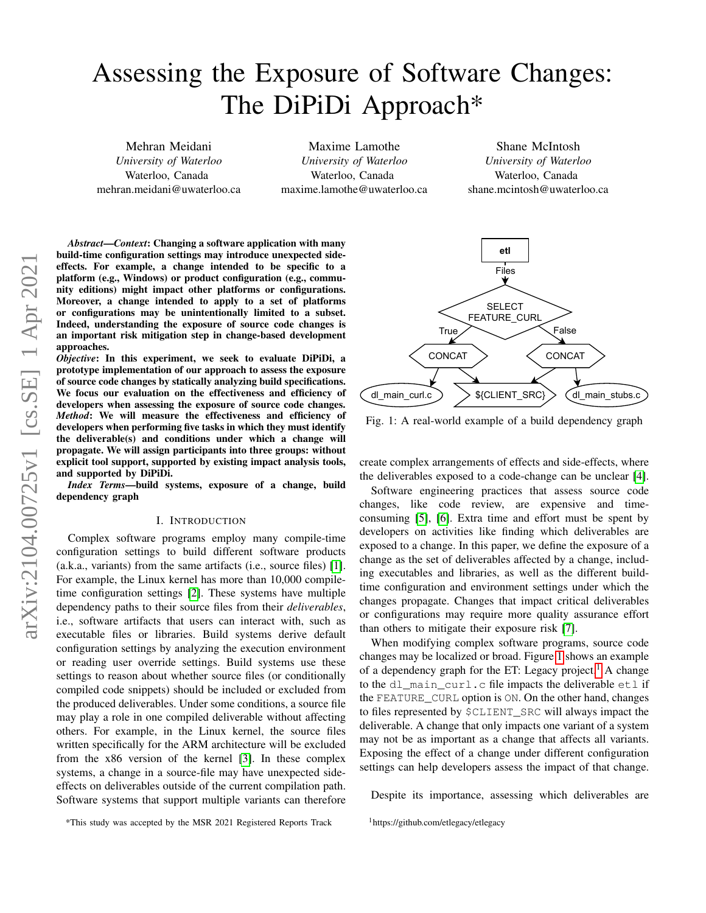# Assessing the Exposure of Software Changes: The DiPiDi Approach\*

Mehran Meidani *University of Waterloo* Waterloo, Canada mehran.meidani@uwaterloo.ca

Maxime Lamothe *University of Waterloo* Waterloo, Canada maxime.lamothe@uwaterloo.ca

Shane McIntosh *University of Waterloo* Waterloo, Canada shane.mcintosh@uwaterloo.ca

*Abstract*—*Context*: Changing a software application with many build-time configuration settings may introduce unexpected sideeffects. For example, a change intended to be specific to a platform (e.g., Windows) or product configuration (e.g., community editions) might impact other platforms or configurations. Moreover, a change intended to apply to a set of platforms or configurations may be unintentionally limited to a subset. Indeed, understanding the exposure of source code changes is an important risk mitigation step in change-based development approaches.

*Objective*: In this experiment, we seek to evaluate DiPiDi, a prototype implementation of our approach to assess the exposure of source code changes by statically analyzing build specifications. We focus our evaluation on the effectiveness and efficiency of developers when assessing the exposure of source code changes. *Method*: We will measure the effectiveness and efficiency of developers when performing five tasks in which they must identify the deliverable(s) and conditions under which a change will propagate. We will assign participants into three groups: without explicit tool support, supported by existing impact analysis tools, and supported by DiPiDi.

*Index Terms*—build systems, exposure of a change, build dependency graph

#### I. INTRODUCTION

Complex software programs employ many compile-time configuration settings to build different software products (a.k.a., variants) from the same artifacts (i.e., source files) [\[1\]](#page-6-0). For example, the Linux kernel has more than 10,000 compiletime configuration settings [\[2\]](#page-6-1). These systems have multiple dependency paths to their source files from their *deliverables*, i.e., software artifacts that users can interact with, such as executable files or libraries. Build systems derive default configuration settings by analyzing the execution environment or reading user override settings. Build systems use these settings to reason about whether source files (or conditionally compiled code snippets) should be included or excluded from the produced deliverables. Under some conditions, a source file may play a role in one compiled deliverable without affecting others. For example, in the Linux kernel, the source files written specifically for the ARM architecture will be excluded from the x86 version of the kernel [\[3\]](#page-6-2). In these complex systems, a change in a source-file may have unexpected sideeffects on deliverables outside of the current compilation path. Software systems that support multiple variants can therefore

<span id="page-0-0"></span>

Fig. 1: A real-world example of a build dependency graph

create complex arrangements of effects and side-effects, where the deliverables exposed to a code-change can be unclear [\[4\]](#page-6-3).

Software engineering practices that assess source code changes, like code review, are expensive and timeconsuming [\[5\]](#page-6-4), [\[6\]](#page-6-5). Extra time and effort must be spent by developers on activities like finding which deliverables are exposed to a change. In this paper, we define the exposure of a change as the set of deliverables affected by a change, including executables and libraries, as well as the different buildtime configuration and environment settings under which the changes propagate. Changes that impact critical deliverables or configurations may require more quality assurance effort than others to mitigate their exposure risk [\[7\]](#page-6-6).

When modifying complex software programs, source code changes may be localized or broad. Figure [1](#page-0-0) shows an example of a dependency graph for the ET: Legacy project.<sup>[1](#page-0-1)</sup> A change to the dl\_main\_curl.c file impacts the deliverable etl if the FEATURE\_CURL option is ON. On the other hand, changes to files represented by \$CLIENT\_SRC will always impact the deliverable. A change that only impacts one variant of a system may not be as important as a change that affects all variants. Exposing the effect of a change under different configuration settings can help developers assess the impact of that change.

Despite its importance, assessing which deliverables are

\*This study was accepted by the MSR 2021 Registered Reports Track

<span id="page-0-1"></span><sup>1</sup>https://github.com/etlegacy/etlegacy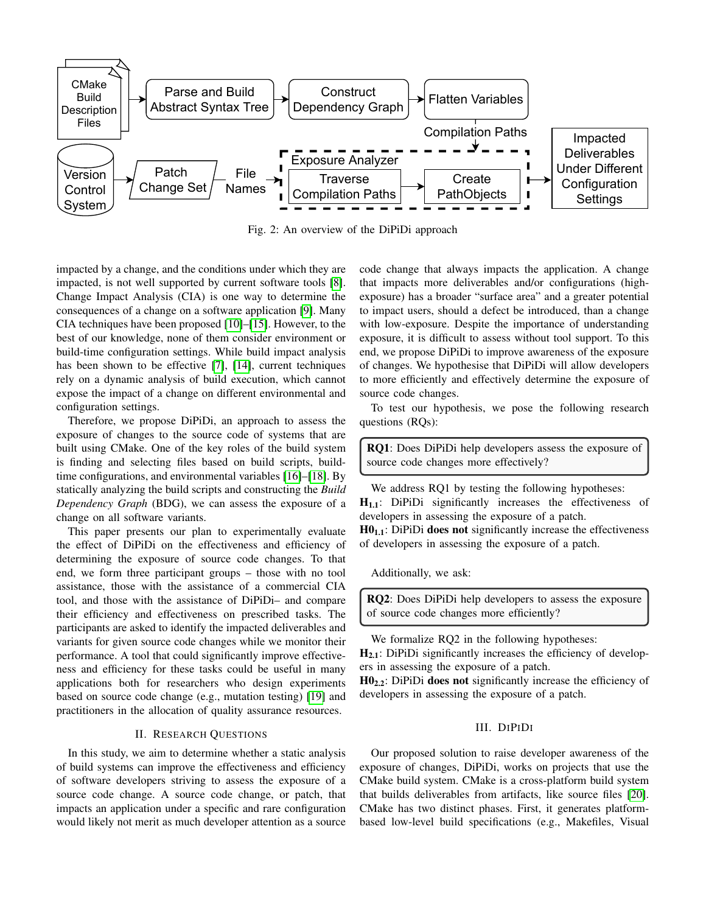<span id="page-1-0"></span>

Fig. 2: An overview of the DiPiDi approach

impacted by a change, and the conditions under which they are impacted, is not well supported by current software tools [\[8\]](#page-6-7). Change Impact Analysis (CIA) is one way to determine the consequences of a change on a software application [\[9\]](#page-6-8). Many CIA techniques have been proposed [\[10\]](#page-6-9)–[\[15\]](#page-7-0). However, to the best of our knowledge, none of them consider environment or build-time configuration settings. While build impact analysis has been shown to be effective [\[7\]](#page-6-6), [\[14\]](#page-7-1), current techniques rely on a dynamic analysis of build execution, which cannot expose the impact of a change on different environmental and configuration settings.

Therefore, we propose DiPiDi, an approach to assess the exposure of changes to the source code of systems that are built using CMake. One of the key roles of the build system is finding and selecting files based on build scripts, buildtime configurations, and environmental variables [\[16\]](#page-7-2)–[\[18\]](#page-7-3). By statically analyzing the build scripts and constructing the *Build Dependency Graph* (BDG), we can assess the exposure of a change on all software variants.

This paper presents our plan to experimentally evaluate the effect of DiPiDi on the effectiveness and efficiency of determining the exposure of source code changes. To that end, we form three participant groups – those with no tool assistance, those with the assistance of a commercial CIA tool, and those with the assistance of DiPiDi– and compare their efficiency and effectiveness on prescribed tasks. The participants are asked to identify the impacted deliverables and variants for given source code changes while we monitor their performance. A tool that could significantly improve effectiveness and efficiency for these tasks could be useful in many applications both for researchers who design experiments based on source code change (e.g., mutation testing) [\[19\]](#page-7-4) and practitioners in the allocation of quality assurance resources.

# II. RESEARCH QUESTIONS

In this study, we aim to determine whether a static analysis of build systems can improve the effectiveness and efficiency of software developers striving to assess the exposure of a source code change. A source code change, or patch, that impacts an application under a specific and rare configuration would likely not merit as much developer attention as a source code change that always impacts the application. A change that impacts more deliverables and/or configurations (highexposure) has a broader "surface area" and a greater potential to impact users, should a defect be introduced, than a change with low-exposure. Despite the importance of understanding exposure, it is difficult to assess without tool support. To this end, we propose DiPiDi to improve awareness of the exposure of changes. We hypothesise that DiPiDi will allow developers to more efficiently and effectively determine the exposure of source code changes.

To test our hypothesis, we pose the following research questions (RQs):

RQ1: Does DiPiDi help developers assess the exposure of source code changes more effectively?

We address RQ1 by testing the following hypotheses:  $H_{1,1}$ : DiPiDi significantly increases the effectiveness of developers in assessing the exposure of a patch.

 $H0<sub>1.1</sub>$ : DiPiDi does not significantly increase the effectiveness of developers in assessing the exposure of a patch.

Additionally, we ask:

RQ2: Does DiPiDi help developers to assess the exposure of source code changes more efficiently?

We formalize RQ2 in the following hypotheses:

H<sub>2.1</sub>: DiPiDi significantly increases the efficiency of developers in assessing the exposure of a patch.

 $H0_{2,2}$ : DiPiDi does not significantly increase the efficiency of developers in assessing the exposure of a patch.

#### III. DIPIDI

Our proposed solution to raise developer awareness of the exposure of changes, DiPiDi, works on projects that use the CMake build system. CMake is a cross-platform build system that builds deliverables from artifacts, like source files [\[20\]](#page-7-5). CMake has two distinct phases. First, it generates platformbased low-level build specifications (e.g., Makefiles, Visual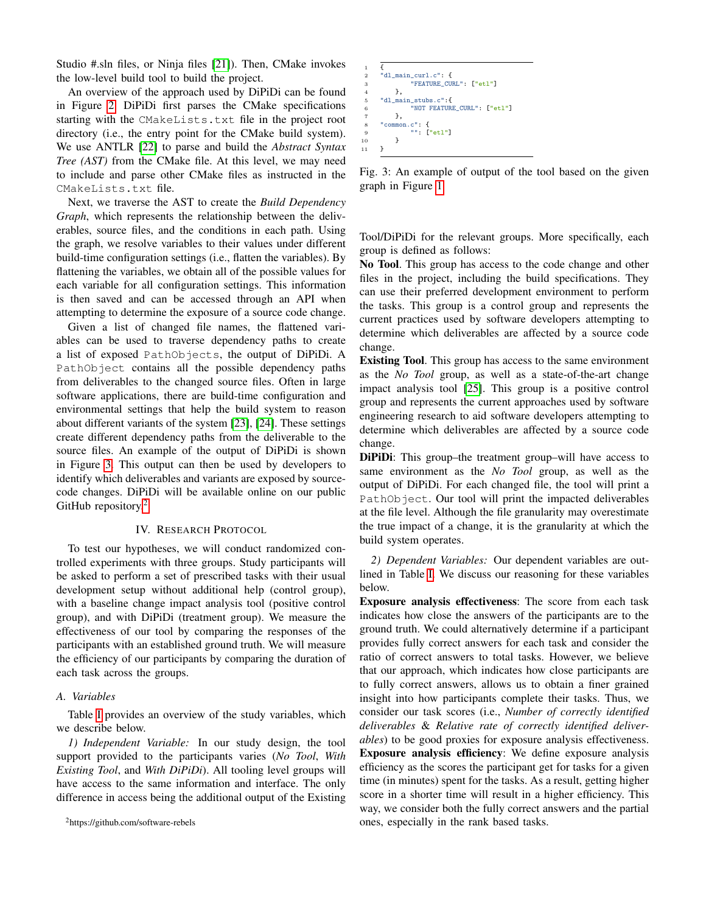Studio #.sln files, or Ninja files [\[21\]](#page-7-6)). Then, CMake invokes the low-level build tool to build the project.

An overview of the approach used by DiPiDi can be found in Figure [2.](#page-1-0) DiPiDi first parses the CMake specifications starting with the CMakeLists.txt file in the project root directory (i.e., the entry point for the CMake build system). We use ANTLR [\[22\]](#page-7-7) to parse and build the *Abstract Syntax Tree (AST)* from the CMake file. At this level, we may need to include and parse other CMake files as instructed in the CMakeLists.txt file.

Next, we traverse the AST to create the *Build Dependency Graph*, which represents the relationship between the deliverables, source files, and the conditions in each path. Using the graph, we resolve variables to their values under different build-time configuration settings (i.e., flatten the variables). By flattening the variables, we obtain all of the possible values for each variable for all configuration settings. This information is then saved and can be accessed through an API when attempting to determine the exposure of a source code change.

Given a list of changed file names, the flattened variables can be used to traverse dependency paths to create a list of exposed PathObjects, the output of DiPiDi. A PathObject contains all the possible dependency paths from deliverables to the changed source files. Often in large software applications, there are build-time configuration and environmental settings that help the build system to reason about different variants of the system [\[23\]](#page-7-8), [\[24\]](#page-7-9). These settings create different dependency paths from the deliverable to the source files. An example of the output of DiPiDi is shown in Figure [3.](#page-2-0) This output can then be used by developers to identify which deliverables and variants are exposed by sourcecode changes. DiPiDi will be available online on our public GitHub repository.<sup>[2](#page-2-1)</sup>

### IV. RESEARCH PROTOCOL

To test our hypotheses, we will conduct randomized controlled experiments with three groups. Study participants will be asked to perform a set of prescribed tasks with their usual development setup without additional help (control group), with a baseline change impact analysis tool (positive control group), and with DiPiDi (treatment group). We measure the effectiveness of our tool by comparing the responses of the participants with an established ground truth. We will measure the efficiency of our participants by comparing the duration of each task across the groups.

#### <span id="page-2-2"></span>*A. Variables*

Table [I](#page-3-0) provides an overview of the study variables, which we describe below.

*1) Independent Variable:* In our study design, the tool support provided to the participants varies (*No Tool*, *With Existing Tool*, and *With DiPiDi*). All tooling level groups will have access to the same information and interface. The only difference in access being the additional output of the Existing

```
1 {
  2 "dl_main_curl.c": {
3 "FEATURE_CURL": ["etl"]
               \lambda"dl_main_stubs.c":{
                       6 "NOT FEATURE_CURL": ["etl"]
               7 },
          "common.c": {
                         9 "": ["etl"]
\begin{matrix} 10 & & \textcolor{red}{\ddots} \\ 11 & & \textcolor{red}{\ddots} \end{matrix}11
```
Fig. 3: An example of output of the tool based on the given graph in Figure [1](#page-0-0)

Tool/DiPiDi for the relevant groups. More specifically, each group is defined as follows:

No Tool. This group has access to the code change and other files in the project, including the build specifications. They can use their preferred development environment to perform the tasks. This group is a control group and represents the current practices used by software developers attempting to determine which deliverables are affected by a source code change.

Existing Tool. This group has access to the same environment as the *No Tool* group, as well as a state-of-the-art change impact analysis tool [\[25\]](#page-7-10). This group is a positive control group and represents the current approaches used by software engineering research to aid software developers attempting to determine which deliverables are affected by a source code change.

DiPiDi: This group–the treatment group–will have access to same environment as the *No Tool* group, as well as the output of DiPiDi. For each changed file, the tool will print a PathObject. Our tool will print the impacted deliverables at the file level. Although the file granularity may overestimate the true impact of a change, it is the granularity at which the build system operates.

*2) Dependent Variables:* Our dependent variables are outlined in Table [I.](#page-3-0) We discuss our reasoning for these variables below.

1 provides fully correct answers for each task and consider the Exposure analysis effectiveness: The score from each task indicates how close the answers of the participants are to the ground truth. We could alternatively determine if a participant ratio of correct answers to total tasks. However, we believe that our approach, which indicates how close participants are to fully correct answers, allows us to obtain a finer grained insight into how participants complete their tasks. Thus, we consider our task scores (i.e., *Number of correctly identified deliverables* & *Relative rate of correctly identified deliverables*) to be good proxies for exposure analysis effectiveness. Exposure analysis efficiency: We define exposure analysis efficiency as the scores the participant get for tasks for a given time (in minutes) spent for the tasks. As a result, getting higher score in a shorter time will result in a higher efficiency. This way, we consider both the fully correct answers and the partial ones, especially in the rank based tasks.

<span id="page-2-1"></span><sup>2</sup>https://github.com/software-rebels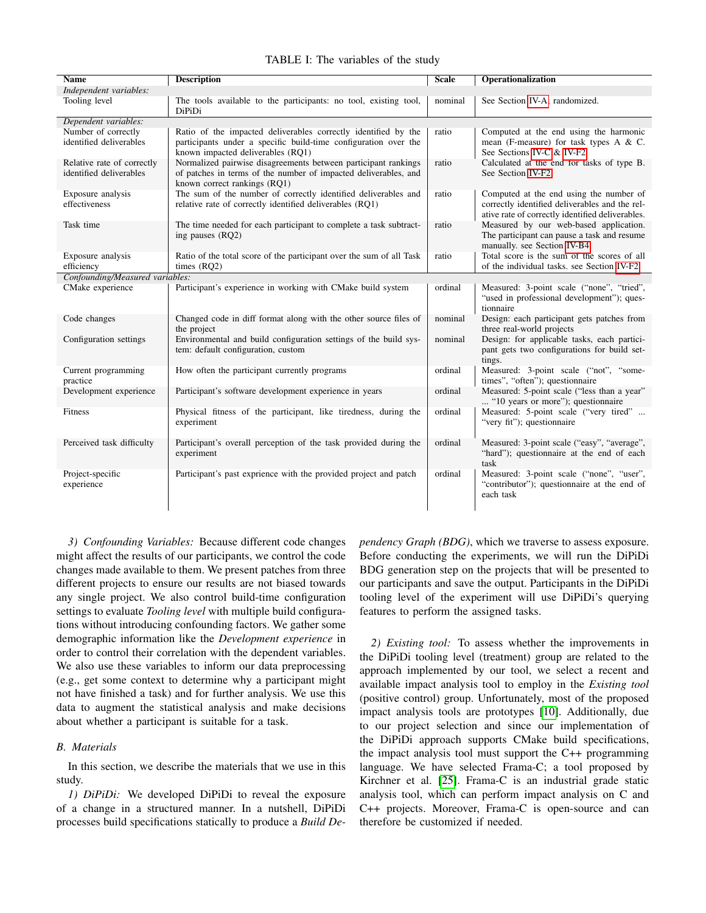<span id="page-3-0"></span>

| <b>Name</b>                                           | <b>Description</b>                                                                                                                                                     | <b>Scale</b> | <b>Operationalization</b>                                                                                                                     |
|-------------------------------------------------------|------------------------------------------------------------------------------------------------------------------------------------------------------------------------|--------------|-----------------------------------------------------------------------------------------------------------------------------------------------|
| Independent variables:                                |                                                                                                                                                                        |              |                                                                                                                                               |
| Tooling level                                         | The tools available to the participants: no tool, existing tool,<br>DiPiDi                                                                                             | nominal      | See Section IV-A; randomized.                                                                                                                 |
| Dependent variables:                                  |                                                                                                                                                                        |              |                                                                                                                                               |
| Number of correctly<br>identified deliverables        | Ratio of the impacted deliverables correctly identified by the<br>participants under a specific build-time configuration over the<br>known impacted deliverables (RQ1) | ratio        | Computed at the end using the harmonic<br>mean (F-measure) for task types A $&$ C.<br>See Sections IV-C & IV-F2                               |
| Relative rate of correctly<br>identified deliverables | Normalized pairwise disagreements between participant rankings<br>of patches in terms of the number of impacted deliverables, and<br>known correct rankings (RQ1)      | ratio        | Calculated at the end for tasks of type B.<br>See Section IV-F2                                                                               |
| Exposure analysis<br>effectiveness                    | The sum of the number of correctly identified deliverables and<br>relative rate of correctly identified deliverables (RQ1)                                             | ratio        | Computed at the end using the number of<br>correctly identified deliverables and the rel-<br>ative rate of correctly identified deliverables. |
| Task time                                             | The time needed for each participant to complete a task subtract-<br>ing pauses (RQ2)                                                                                  | ratio        | Measured by our web-based application.<br>The participant can pause a task and resume<br>manually. see Section IV-B4                          |
| Exposure analysis<br>efficiency                       | Ratio of the total score of the participant over the sum of all Task<br>times $(RQ2)$                                                                                  | ratio        | Total score is the sum of the scores of all<br>of the individual tasks, see Section IV-F2                                                     |
| Confounding/Measured variables:                       |                                                                                                                                                                        |              |                                                                                                                                               |
| CMake experience                                      | Participant's experience in working with CMake build system                                                                                                            | ordinal      | Measured: 3-point scale ("none", "tried",<br>"used in professional development"); ques-<br>tionnaire                                          |
| Code changes                                          | Changed code in diff format along with the other source files of<br>the project                                                                                        | nominal      | Design: each participant gets patches from<br>three real-world projects                                                                       |
| Configuration settings                                | Environmental and build configuration settings of the build sys-<br>tem: default configuration, custom                                                                 | nominal      | Design: for applicable tasks, each partici-<br>pant gets two configurations for build set-<br>tings.                                          |
| Current programming<br>practice                       | How often the participant currently programs                                                                                                                           | ordinal      | Measured: 3-point scale ("not", "some-<br>times", "often"); questionnaire                                                                     |
| Development experience                                | Participant's software development experience in years                                                                                                                 | ordinal      | Measured: 5-point scale ("less than a year"<br>"10 years or more"); questionnaire                                                             |
| Fitness                                               | Physical fitness of the participant, like tiredness, during the<br>experiment                                                                                          | ordinal      | Measured: 5-point scale ("very tired"<br>"very fit"); questionnaire                                                                           |
| Perceived task difficulty                             | Participant's overall perception of the task provided during the<br>experiment                                                                                         | ordinal      | Measured: 3-point scale ("easy", "average",<br>"hard"); questionnaire at the end of each<br>task                                              |
| Project-specific<br>experience                        | Participant's past exprience with the provided project and patch                                                                                                       | ordinal      | Measured: 3-point scale ("none", "user",<br>"contributor"); questionnaire at the end of<br>each task                                          |

## TABLE I: The variables of the study

*3) Confounding Variables:* Because different code changes might affect the results of our participants, we control the code changes made available to them. We present patches from three different projects to ensure our results are not biased towards any single project. We also control build-time configuration settings to evaluate *Tooling level* with multiple build configurations without introducing confounding factors. We gather some demographic information like the *Development experience* in order to control their correlation with the dependent variables. We also use these variables to inform our data preprocessing (e.g., get some context to determine why a participant might not have finished a task) and for further analysis. We use this data to augment the statistical analysis and make decisions about whether a participant is suitable for a task.

## *B. Materials*

In this section, we describe the materials that we use in this study.

*1) DiPiDi:* We developed DiPiDi to reveal the exposure of a change in a structured manner. In a nutshell, DiPiDi processes build specifications statically to produce a *Build De-* *pendency Graph (BDG)*, which we traverse to assess exposure. Before conducting the experiments, we will run the DiPiDi BDG generation step on the projects that will be presented to our participants and save the output. Participants in the DiPiDi tooling level of the experiment will use DiPiDi's querying features to perform the assigned tasks.

*2) Existing tool:* To assess whether the improvements in the DiPiDi tooling level (treatment) group are related to the approach implemented by our tool, we select a recent and available impact analysis tool to employ in the *Existing tool* (positive control) group. Unfortunately, most of the proposed impact analysis tools are prototypes [\[10\]](#page-6-9). Additionally, due to our project selection and since our implementation of the DiPiDi approach supports CMake build specifications, the impact analysis tool must support the C++ programming language. We have selected Frama-C; a tool proposed by Kirchner et al. [\[25\]](#page-7-10). Frama-C is an industrial grade static analysis tool, which can perform impact analysis on C and C++ projects. Moreover, Frama-C is open-source and can therefore be customized if needed.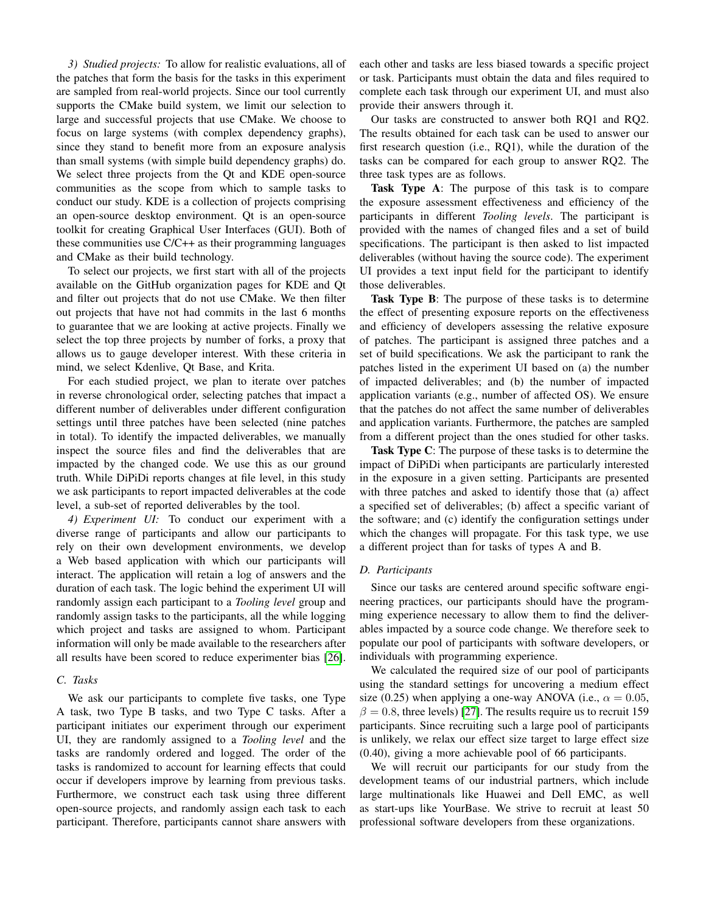*3) Studied projects:* To allow for realistic evaluations, all of the patches that form the basis for the tasks in this experiment are sampled from real-world projects. Since our tool currently supports the CMake build system, we limit our selection to large and successful projects that use CMake. We choose to focus on large systems (with complex dependency graphs), since they stand to benefit more from an exposure analysis than small systems (with simple build dependency graphs) do. We select three projects from the Qt and KDE open-source communities as the scope from which to sample tasks to conduct our study. KDE is a collection of projects comprising an open-source desktop environment. Qt is an open-source toolkit for creating Graphical User Interfaces (GUI). Both of these communities use C/C++ as their programming languages and CMake as their build technology.

To select our projects, we first start with all of the projects available on the GitHub organization pages for KDE and Qt and filter out projects that do not use CMake. We then filter out projects that have not had commits in the last 6 months to guarantee that we are looking at active projects. Finally we select the top three projects by number of forks, a proxy that allows us to gauge developer interest. With these criteria in mind, we select Kdenlive, Qt Base, and Krita.

For each studied project, we plan to iterate over patches in reverse chronological order, selecting patches that impact a different number of deliverables under different configuration settings until three patches have been selected (nine patches in total). To identify the impacted deliverables, we manually inspect the source files and find the deliverables that are impacted by the changed code. We use this as our ground truth. While DiPiDi reports changes at file level, in this study we ask participants to report impacted deliverables at the code level, a sub-set of reported deliverables by the tool.

<span id="page-4-1"></span>*4) Experiment UI:* To conduct our experiment with a diverse range of participants and allow our participants to rely on their own development environments, we develop a Web based application with which our participants will interact. The application will retain a log of answers and the duration of each task. The logic behind the experiment UI will randomly assign each participant to a *Tooling level* group and randomly assign tasks to the participants, all the while logging which project and tasks are assigned to whom. Participant information will only be made available to the researchers after all results have been scored to reduce experimenter bias [\[26\]](#page-7-11).

# <span id="page-4-0"></span>*C. Tasks*

We ask our participants to complete five tasks, one Type A task, two Type B tasks, and two Type C tasks. After a participant initiates our experiment through our experiment UI, they are randomly assigned to a *Tooling level* and the tasks are randomly ordered and logged. The order of the tasks is randomized to account for learning effects that could occur if developers improve by learning from previous tasks. Furthermore, we construct each task using three different open-source projects, and randomly assign each task to each participant. Therefore, participants cannot share answers with each other and tasks are less biased towards a specific project or task. Participants must obtain the data and files required to complete each task through our experiment UI, and must also provide their answers through it.

Our tasks are constructed to answer both RQ1 and RQ2. The results obtained for each task can be used to answer our first research question (i.e., RQ1), while the duration of the tasks can be compared for each group to answer RQ2. The three task types are as follows.

Task Type A: The purpose of this task is to compare the exposure assessment effectiveness and efficiency of the participants in different *Tooling levels*. The participant is provided with the names of changed files and a set of build specifications. The participant is then asked to list impacted deliverables (without having the source code). The experiment UI provides a text input field for the participant to identify those deliverables.

Task Type B: The purpose of these tasks is to determine the effect of presenting exposure reports on the effectiveness and efficiency of developers assessing the relative exposure of patches. The participant is assigned three patches and a set of build specifications. We ask the participant to rank the patches listed in the experiment UI based on (a) the number of impacted deliverables; and (b) the number of impacted application variants (e.g., number of affected OS). We ensure that the patches do not affect the same number of deliverables and application variants. Furthermore, the patches are sampled from a different project than the ones studied for other tasks.

Task Type C: The purpose of these tasks is to determine the impact of DiPiDi when participants are particularly interested in the exposure in a given setting. Participants are presented with three patches and asked to identify those that (a) affect a specified set of deliverables; (b) affect a specific variant of the software; and (c) identify the configuration settings under which the changes will propagate. For this task type, we use a different project than for tasks of types A and B.

## *D. Participants*

Since our tasks are centered around specific software engineering practices, our participants should have the programming experience necessary to allow them to find the deliverables impacted by a source code change. We therefore seek to populate our pool of participants with software developers, or individuals with programming experience.

We calculated the required size of our pool of participants using the standard settings for uncovering a medium effect size (0.25) when applying a one-way ANOVA (i.e.,  $\alpha = 0.05$ ,  $\beta = 0.8$ , three levels) [\[27\]](#page-7-12). The results require us to recruit 159 participants. Since recruiting such a large pool of participants is unlikely, we relax our effect size target to large effect size (0.40), giving a more achievable pool of 66 participants.

We will recruit our participants for our study from the development teams of our industrial partners, which include large multinationals like Huawei and Dell EMC, as well as start-ups like YourBase. We strive to recruit at least 50 professional software developers from these organizations.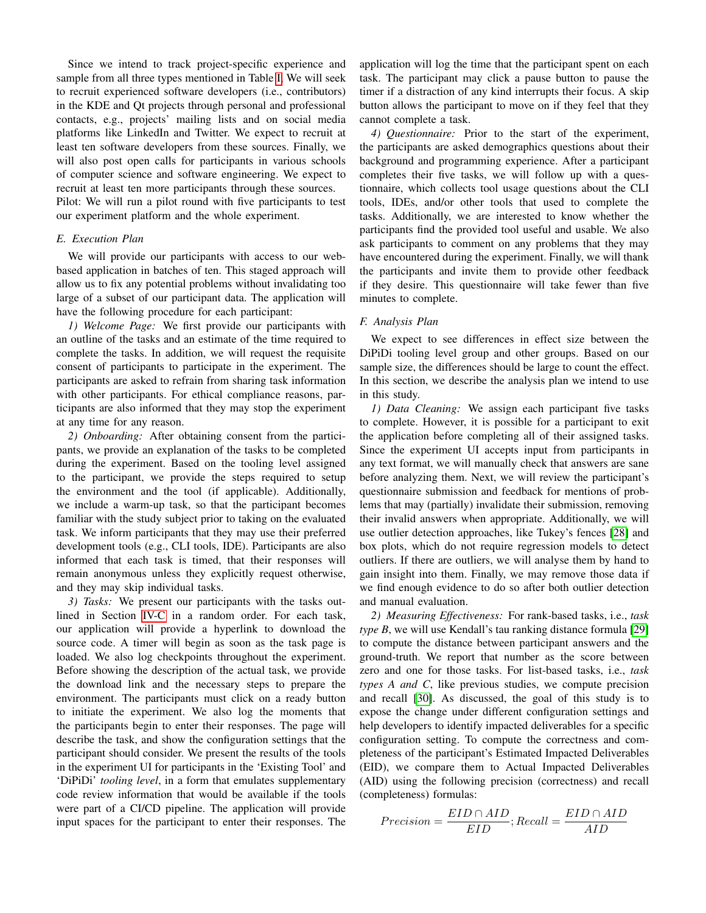Since we intend to track project-specific experience and sample from all three types mentioned in Table [I,](#page-3-0) We will seek to recruit experienced software developers (i.e., contributors) in the KDE and Qt projects through personal and professional contacts, e.g., projects' mailing lists and on social media platforms like LinkedIn and Twitter. We expect to recruit at least ten software developers from these sources. Finally, we will also post open calls for participants in various schools of computer science and software engineering. We expect to recruit at least ten more participants through these sources.

Pilot: We will run a pilot round with five participants to test our experiment platform and the whole experiment.

## *E. Execution Plan*

We will provide our participants with access to our webbased application in batches of ten. This staged approach will allow us to fix any potential problems without invalidating too large of a subset of our participant data. The application will have the following procedure for each participant:

*1) Welcome Page:* We first provide our participants with an outline of the tasks and an estimate of the time required to complete the tasks. In addition, we will request the requisite consent of participants to participate in the experiment. The participants are asked to refrain from sharing task information with other participants. For ethical compliance reasons, participants are also informed that they may stop the experiment at any time for any reason.

*2) Onboarding:* After obtaining consent from the participants, we provide an explanation of the tasks to be completed during the experiment. Based on the tooling level assigned to the participant, we provide the steps required to setup the environment and the tool (if applicable). Additionally, we include a warm-up task, so that the participant becomes familiar with the study subject prior to taking on the evaluated task. We inform participants that they may use their preferred development tools (e.g., CLI tools, IDE). Participants are also informed that each task is timed, that their responses will remain anonymous unless they explicitly request otherwise, and they may skip individual tasks.

*3) Tasks:* We present our participants with the tasks outlined in Section [IV-C](#page-4-0) in a random order. For each task, our application will provide a hyperlink to download the source code. A timer will begin as soon as the task page is loaded. We also log checkpoints throughout the experiment. Before showing the description of the actual task, we provide the download link and the necessary steps to prepare the environment. The participants must click on a ready button to initiate the experiment. We also log the moments that the participants begin to enter their responses. The page will describe the task, and show the configuration settings that the participant should consider. We present the results of the tools in the experiment UI for participants in the 'Existing Tool' and 'DiPiDi' *tooling level*, in a form that emulates supplementary code review information that would be available if the tools were part of a CI/CD pipeline. The application will provide input spaces for the participant to enter their responses. The application will log the time that the participant spent on each task. The participant may click a pause button to pause the timer if a distraction of any kind interrupts their focus. A skip button allows the participant to move on if they feel that they cannot complete a task.

*4) Questionnaire:* Prior to the start of the experiment, the participants are asked demographics questions about their background and programming experience. After a participant completes their five tasks, we will follow up with a questionnaire, which collects tool usage questions about the CLI tools, IDEs, and/or other tools that used to complete the tasks. Additionally, we are interested to know whether the participants find the provided tool useful and usable. We also ask participants to comment on any problems that they may have encountered during the experiment. Finally, we will thank the participants and invite them to provide other feedback if they desire. This questionnaire will take fewer than five minutes to complete.

## *F. Analysis Plan*

We expect to see differences in effect size between the DiPiDi tooling level group and other groups. Based on our sample size, the differences should be large to count the effect. In this section, we describe the analysis plan we intend to use in this study.

*1) Data Cleaning:* We assign each participant five tasks to complete. However, it is possible for a participant to exit the application before completing all of their assigned tasks. Since the experiment UI accepts input from participants in any text format, we will manually check that answers are sane before analyzing them. Next, we will review the participant's questionnaire submission and feedback for mentions of problems that may (partially) invalidate their submission, removing their invalid answers when appropriate. Additionally, we will use outlier detection approaches, like Tukey's fences [\[28\]](#page-7-13) and box plots, which do not require regression models to detect outliers. If there are outliers, we will analyse them by hand to gain insight into them. Finally, we may remove those data if we find enough evidence to do so after both outlier detection and manual evaluation.

<span id="page-5-0"></span>*2) Measuring Effectiveness:* For rank-based tasks, i.e., *task type B*, we will use Kendall's tau ranking distance formula [\[29\]](#page-7-14) to compute the distance between participant answers and the ground-truth. We report that number as the score between zero and one for those tasks. For list-based tasks, i.e., *task types A and C*, like previous studies, we compute precision and recall [\[30\]](#page-7-15). As discussed, the goal of this study is to expose the change under different configuration settings and help developers to identify impacted deliverables for a specific configuration setting. To compute the correctness and completeness of the participant's Estimated Impacted Deliverables (EID), we compare them to Actual Impacted Deliverables (AID) using the following precision (correctness) and recall (completeness) formulas:

$$
Precision = \frac{EID \cap AID}{EID}; Recall = \frac{EID \cap AID}{AID}
$$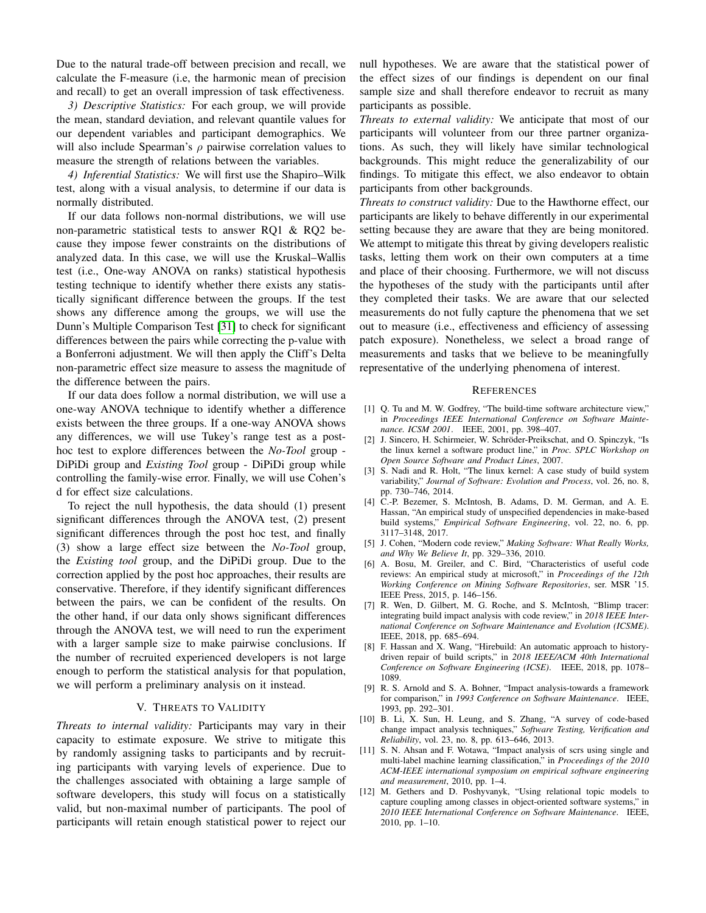Due to the natural trade-off between precision and recall, we calculate the F-measure (i.e, the harmonic mean of precision and recall) to get an overall impression of task effectiveness.

*3) Descriptive Statistics:* For each group, we will provide the mean, standard deviation, and relevant quantile values for our dependent variables and participant demographics. We will also include Spearman's  $\rho$  pairwise correlation values to measure the strength of relations between the variables.

*4) Inferential Statistics:* We will first use the Shapiro–Wilk test, along with a visual analysis, to determine if our data is normally distributed.

If our data follows non-normal distributions, we will use non-parametric statistical tests to answer RQ1 & RQ2 because they impose fewer constraints on the distributions of analyzed data. In this case, we will use the Kruskal–Wallis test (i.e., One-way ANOVA on ranks) statistical hypothesis testing technique to identify whether there exists any statistically significant difference between the groups. If the test shows any difference among the groups, we will use the Dunn's Multiple Comparison Test [\[31\]](#page-7-16) to check for significant differences between the pairs while correcting the p-value with a Bonferroni adjustment. We will then apply the Cliff's Delta non-parametric effect size measure to assess the magnitude of the difference between the pairs.

If our data does follow a normal distribution, we will use a one-way ANOVA technique to identify whether a difference exists between the three groups. If a one-way ANOVA shows any differences, we will use Tukey's range test as a posthoc test to explore differences between the *No-Tool* group - DiPiDi group and *Existing Tool* group - DiPiDi group while controlling the family-wise error. Finally, we will use Cohen's d for effect size calculations.

To reject the null hypothesis, the data should (1) present significant differences through the ANOVA test, (2) present significant differences through the post hoc test, and finally (3) show a large effect size between the *No-Tool* group, the *Existing tool* group, and the DiPiDi group. Due to the correction applied by the post hoc approaches, their results are conservative. Therefore, if they identify significant differences between the pairs, we can be confident of the results. On the other hand, if our data only shows significant differences through the ANOVA test, we will need to run the experiment with a larger sample size to make pairwise conclusions. If the number of recruited experienced developers is not large enough to perform the statistical analysis for that population, we will perform a preliminary analysis on it instead.

#### V. THREATS TO VALIDITY

*Threats to internal validity:* Participants may vary in their capacity to estimate exposure. We strive to mitigate this by randomly assigning tasks to participants and by recruiting participants with varying levels of experience. Due to the challenges associated with obtaining a large sample of software developers, this study will focus on a statistically valid, but non-maximal number of participants. The pool of participants will retain enough statistical power to reject our null hypotheses. We are aware that the statistical power of the effect sizes of our findings is dependent on our final sample size and shall therefore endeavor to recruit as many participants as possible.

*Threats to external validity:* We anticipate that most of our participants will volunteer from our three partner organizations. As such, they will likely have similar technological backgrounds. This might reduce the generalizability of our findings. To mitigate this effect, we also endeavor to obtain participants from other backgrounds.

*Threats to construct validity:* Due to the Hawthorne effect, our participants are likely to behave differently in our experimental setting because they are aware that they are being monitored. We attempt to mitigate this threat by giving developers realistic tasks, letting them work on their own computers at a time and place of their choosing. Furthermore, we will not discuss the hypotheses of the study with the participants until after they completed their tasks. We are aware that our selected measurements do not fully capture the phenomena that we set out to measure (i.e., effectiveness and efficiency of assessing patch exposure). Nonetheless, we select a broad range of measurements and tasks that we believe to be meaningfully representative of the underlying phenomena of interest.

#### **REFERENCES**

- <span id="page-6-0"></span>[1] Q. Tu and M. W. Godfrey, "The build-time software architecture view," in *Proceedings IEEE International Conference on Software Maintenance. ICSM 2001*. IEEE, 2001, pp. 398–407.
- <span id="page-6-1"></span>[2] J. Sincero, H. Schirmeier, W. Schröder-Preikschat, and O. Spinczyk, "Is the linux kernel a software product line," in *Proc. SPLC Workshop on Open Source Software and Product Lines*, 2007.
- <span id="page-6-2"></span>[3] S. Nadi and R. Holt, "The linux kernel: A case study of build system variability," *Journal of Software: Evolution and Process*, vol. 26, no. 8, pp. 730–746, 2014.
- <span id="page-6-3"></span>[4] C.-P. Bezemer, S. McIntosh, B. Adams, D. M. German, and A. E. Hassan, "An empirical study of unspecified dependencies in make-based build systems," *Empirical Software Engineering*, vol. 22, no. 6, pp. 3117–3148, 2017.
- <span id="page-6-4"></span>[5] J. Cohen, "Modern code review," *Making Software: What Really Works, and Why We Believe It*, pp. 329–336, 2010.
- <span id="page-6-5"></span>[6] A. Bosu, M. Greiler, and C. Bird, "Characteristics of useful code reviews: An empirical study at microsoft," in *Proceedings of the 12th Working Conference on Mining Software Repositories*, ser. MSR '15. IEEE Press, 2015, p. 146–156.
- <span id="page-6-6"></span>[7] R. Wen, D. Gilbert, M. G. Roche, and S. McIntosh, "Blimp tracer: integrating build impact analysis with code review," in *2018 IEEE International Conference on Software Maintenance and Evolution (ICSME)*. IEEE, 2018, pp. 685–694.
- <span id="page-6-7"></span>[8] F. Hassan and X. Wang, "Hirebuild: An automatic approach to historydriven repair of build scripts," in *2018 IEEE/ACM 40th International Conference on Software Engineering (ICSE)*. IEEE, 2018, pp. 1078– 1089.
- <span id="page-6-8"></span>[9] R. S. Arnold and S. A. Bohner, "Impact analysis-towards a framework for comparison," in *1993 Conference on Software Maintenance*. IEEE, 1993, pp. 292–301.
- <span id="page-6-9"></span>[10] B. Li, X. Sun, H. Leung, and S. Zhang, "A survey of code-based change impact analysis techniques," *Software Testing, Verification and Reliability*, vol. 23, no. 8, pp. 613–646, 2013.
- [11] S. N. Ahsan and F. Wotawa, "Impact analysis of scrs using single and multi-label machine learning classification," in *Proceedings of the 2010 ACM-IEEE international symposium on empirical software engineering and measurement*, 2010, pp. 1–4.
- [12] M. Gethers and D. Poshyvanyk, "Using relational topic models to capture coupling among classes in object-oriented software systems," in *2010 IEEE International Conference on Software Maintenance*. IEEE, 2010, pp. 1–10.